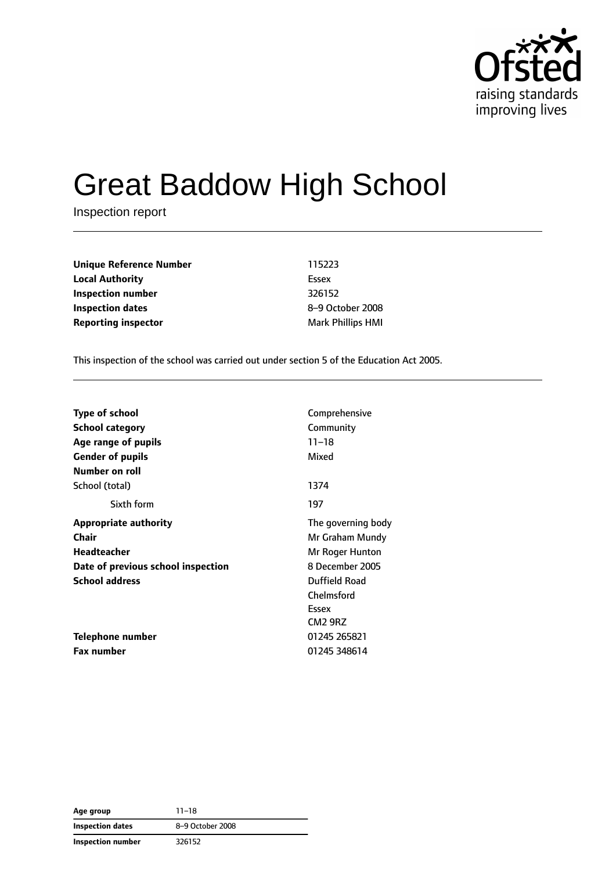

# Great Baddow High School

Inspection report

**Unique Reference Number** 115223 **Local Authority** Essex **Inspection number** 326152 **Inspection dates** 8–9 October 2008 **Reporting inspector** Mark Phillips HMI

This inspection of the school was carried out under section 5 of the Education Act 2005.

| <b>Type of school</b>              | Comprehensive       |
|------------------------------------|---------------------|
| <b>School category</b>             | Community           |
| Age range of pupils                | $11 - 18$           |
| <b>Gender of pupils</b>            | Mixed               |
| Number on roll                     |                     |
| School (total)                     | 1374                |
| Sixth form                         | 197                 |
| <b>Appropriate authority</b>       | The governing body  |
| Chair                              | Mr Graham Mundy     |
| <b>Headteacher</b>                 | Mr Roger Hunton     |
| Date of previous school inspection | 8 December 2005     |
| <b>School address</b>              | Duffield Road       |
|                                    | Chelmsford          |
|                                    | Essex               |
|                                    | CM <sub>2</sub> 9RZ |
| Telephone number                   | 01245 265821        |
| Fax number                         | 01245 348614        |

**Age group** 11–18 **Inspection dates** 8–9 October 2008 **Inspection number** 326152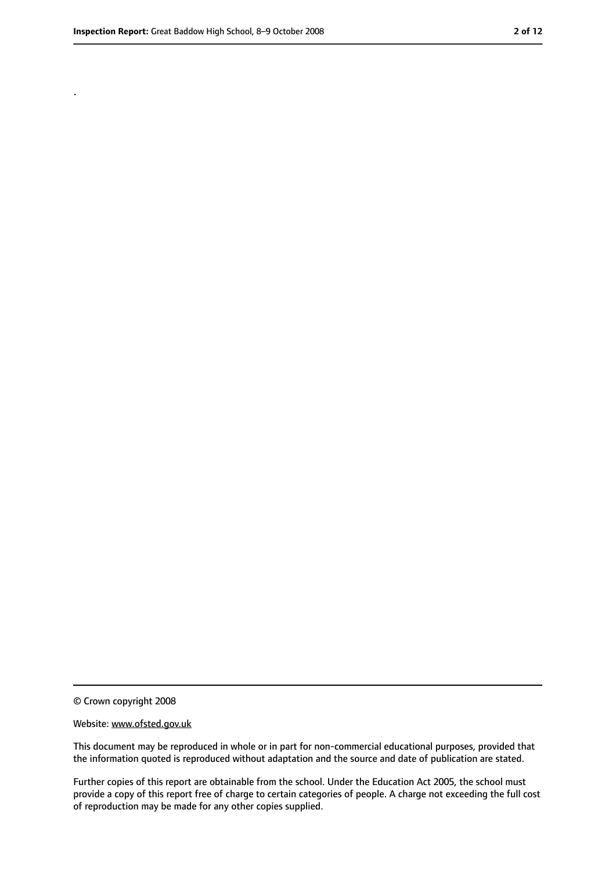.

<sup>©</sup> Crown copyright 2008

Website: www.ofsted.gov.uk

This document may be reproduced in whole or in part for non-commercial educational purposes, provided that the information quoted is reproduced without adaptation and the source and date of publication are stated.

Further copies of this report are obtainable from the school. Under the Education Act 2005, the school must provide a copy of this report free of charge to certain categories of people. A charge not exceeding the full cost of reproduction may be made for any other copies supplied.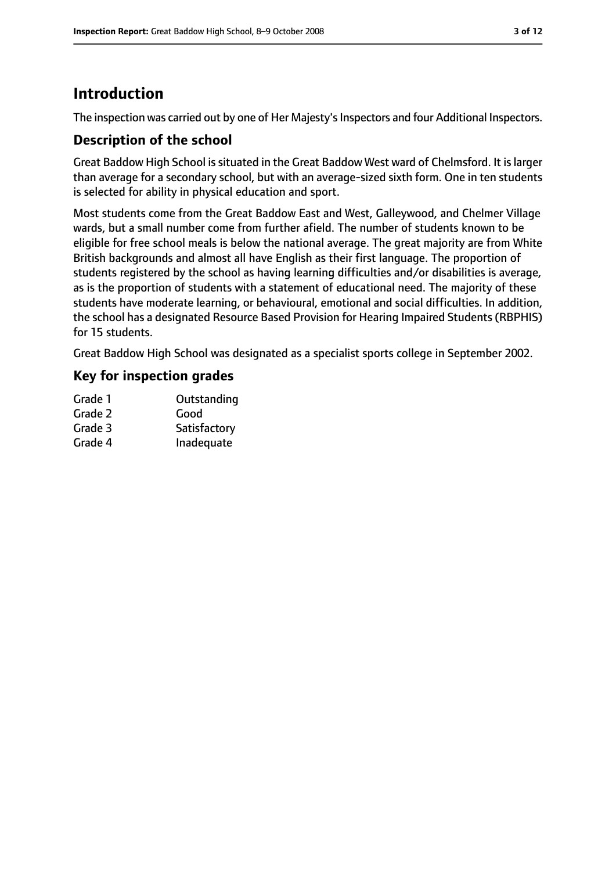### **Introduction**

The inspection was carried out by one of Her Majesty's Inspectors and four Additional Inspectors.

#### **Description of the school**

Great Baddow High School issituated in the Great Baddow West ward of Chelmsford. It islarger than average for a secondary school, but with an average-sized sixth form. One in ten students is selected for ability in physical education and sport.

Most students come from the Great Baddow East and West, Galleywood, and Chelmer Village wards, but a small number come from further afield. The number of students known to be eligible for free school meals is below the national average. The great majority are from White British backgrounds and almost all have English as their first language. The proportion of students registered by the school as having learning difficulties and/or disabilities is average, as is the proportion of students with a statement of educational need. The majority of these students have moderate learning, or behavioural, emotional and social difficulties. In addition, the school has a designated Resource Based Provision for Hearing Impaired Students (RBPHIS) for 15 students.

Great Baddow High School was designated as a specialist sports college in September 2002.

#### **Key for inspection grades**

| Grade 1 | Outstanding  |
|---------|--------------|
| Grade 2 | Good         |
| Grade 3 | Satisfactory |
| Grade 4 | Inadequate   |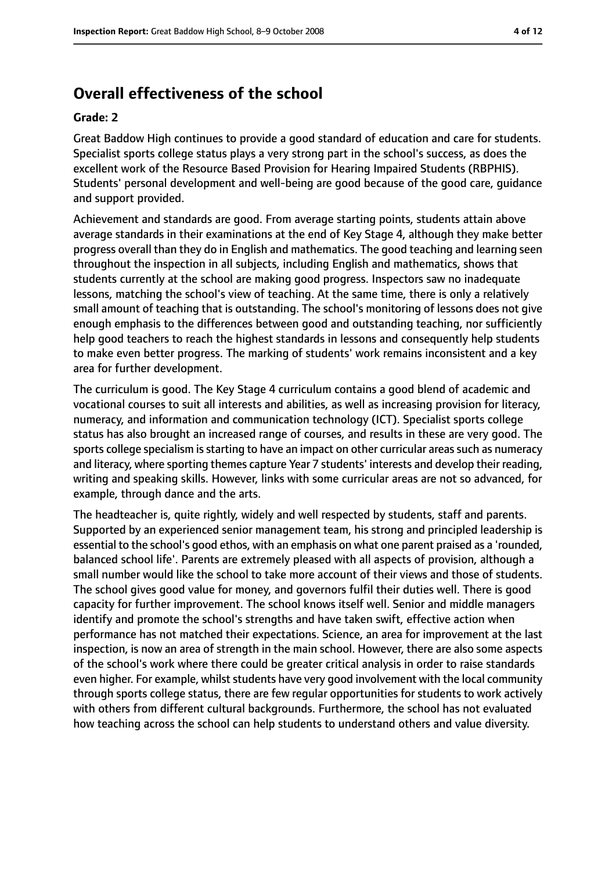### **Overall effectiveness of the school**

#### **Grade: 2**

Great Baddow High continues to provide a good standard of education and care for students. Specialist sports college status plays a very strong part in the school's success, as does the excellent work of the Resource Based Provision for Hearing Impaired Students (RBPHIS). Students' personal development and well-being are good because of the good care, guidance and support provided.

Achievement and standards are good. From average starting points, students attain above average standards in their examinations at the end of Key Stage 4, although they make better progress overall than they do in English and mathematics. The good teaching and learning seen throughout the inspection in all subjects, including English and mathematics, shows that students currently at the school are making good progress. Inspectors saw no inadequate lessons, matching the school's view of teaching. At the same time, there is only a relatively small amount of teaching that is outstanding. The school's monitoring of lessons does not give enough emphasis to the differences between good and outstanding teaching, nor sufficiently help good teachers to reach the highest standards in lessons and consequently help students to make even better progress. The marking of students' work remains inconsistent and a key area for further development.

The curriculum is good. The Key Stage 4 curriculum contains a good blend of academic and vocational courses to suit all interests and abilities, as well as increasing provision for literacy, numeracy, and information and communication technology (ICT). Specialist sports college status has also brought an increased range of courses, and results in these are very good. The sports college specialism is starting to have an impact on other curricular areas such as numeracy and literacy, where sporting themes capture Year 7 students' interests and develop their reading, writing and speaking skills. However, links with some curricular areas are not so advanced, for example, through dance and the arts.

The headteacher is, quite rightly, widely and well respected by students, staff and parents. Supported by an experienced senior management team, his strong and principled leadership is essential to the school's good ethos, with an emphasis on what one parent praised as a 'rounded, balanced school life'. Parents are extremely pleased with all aspects of provision, although a small number would like the school to take more account of their views and those of students. The school gives good value for money, and governors fulfil their duties well. There is good capacity for further improvement. The school knows itself well. Senior and middle managers identify and promote the school's strengths and have taken swift, effective action when performance has not matched their expectations. Science, an area for improvement at the last inspection, is now an area of strength in the main school. However, there are also some aspects of the school's work where there could be greater critical analysis in order to raise standards even higher. For example, whilst students have very good involvement with the local community through sports college status, there are few regular opportunities for students to work actively with others from different cultural backgrounds. Furthermore, the school has not evaluated how teaching across the school can help students to understand others and value diversity.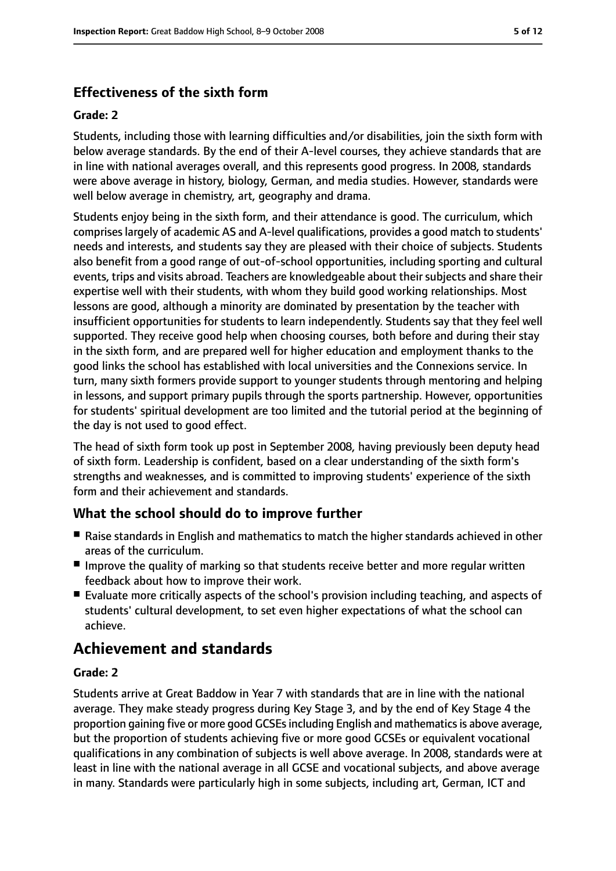#### **Effectiveness of the sixth form**

#### **Grade: 2**

Students, including those with learning difficulties and/or disabilities, join the sixth form with below average standards. By the end of their A-level courses, they achieve standards that are in line with national averages overall, and this represents good progress. In 2008, standards were above average in history, biology, German, and media studies. However, standards were well below average in chemistry, art, geography and drama.

Students enjoy being in the sixth form, and their attendance is good. The curriculum, which compriseslargely of academic AS and A-level qualifications, provides a good match to students' needs and interests, and students say they are pleased with their choice of subjects. Students also benefit from a good range of out-of-school opportunities, including sporting and cultural events, trips and visits abroad. Teachers are knowledgeable about their subjects and share their expertise well with their students, with whom they build good working relationships. Most lessons are good, although a minority are dominated by presentation by the teacher with insufficient opportunities for students to learn independently. Students say that they feel well supported. They receive good help when choosing courses, both before and during their stay in the sixth form, and are prepared well for higher education and employment thanks to the good links the school has established with local universities and the Connexions service. In turn, many sixth formers provide support to younger students through mentoring and helping in lessons, and support primary pupils through the sports partnership. However, opportunities for students' spiritual development are too limited and the tutorial period at the beginning of the day is not used to good effect.

The head of sixth form took up post in September 2008, having previously been deputy head of sixth form. Leadership is confident, based on a clear understanding of the sixth form's strengths and weaknesses, and is committed to improving students' experience of the sixth form and their achievement and standards.

#### **What the school should do to improve further**

- Raise standards in English and mathematics to match the higher standards achieved in other areas of the curriculum.
- Improve the quality of marking so that students receive better and more regular written feedback about how to improve their work.
- Evaluate more critically aspects of the school's provision including teaching, and aspects of students' cultural development, to set even higher expectations of what the school can achieve.

### **Achievement and standards**

#### **Grade: 2**

Students arrive at Great Baddow in Year 7 with standards that are in line with the national average. They make steady progress during Key Stage 3, and by the end of Key Stage 4 the proportion gaining five or more good GCSEs including English and mathematics is above average, but the proportion of students achieving five or more good GCSEs or equivalent vocational qualifications in any combination of subjects is well above average. In 2008, standards were at least in line with the national average in all GCSE and vocational subjects, and above average in many. Standards were particularly high in some subjects, including art, German, ICT and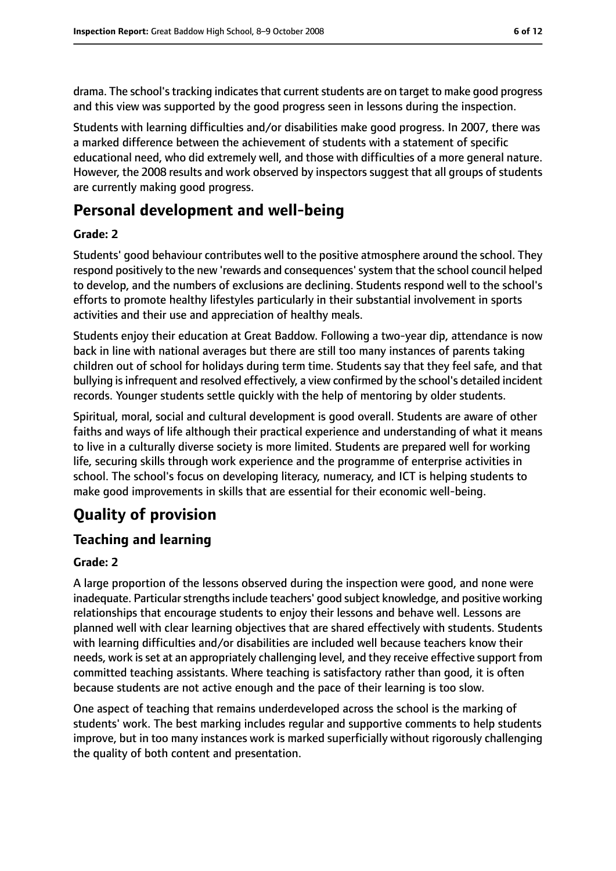drama. The school's tracking indicates that current students are on target to make good progress and this view was supported by the good progress seen in lessons during the inspection.

Students with learning difficulties and/or disabilities make good progress. In 2007, there was a marked difference between the achievement of students with a statement of specific educational need, who did extremely well, and those with difficulties of a more general nature. However, the 2008 results and work observed by inspectors suggest that all groups of students are currently making good progress.

### **Personal development and well-being**

#### **Grade: 2**

Students' good behaviour contributes well to the positive atmosphere around the school. They respond positively to the new 'rewards and consequences'system that the school council helped to develop, and the numbers of exclusions are declining. Students respond well to the school's efforts to promote healthy lifestyles particularly in their substantial involvement in sports activities and their use and appreciation of healthy meals.

Students enjoy their education at Great Baddow. Following a two-year dip, attendance is now back in line with national averages but there are still too many instances of parents taking children out of school for holidays during term time. Students say that they feel safe, and that bullying is infrequent and resolved effectively, a view confirmed by the school's detailed incident records. Younger students settle quickly with the help of mentoring by older students.

Spiritual, moral, social and cultural development is good overall. Students are aware of other faiths and ways of life although their practical experience and understanding of what it means to live in a culturally diverse society is more limited. Students are prepared well for working life, securing skills through work experience and the programme of enterprise activities in school. The school's focus on developing literacy, numeracy, and ICT is helping students to make good improvements in skills that are essential for their economic well-being.

### **Quality of provision**

### **Teaching and learning**

#### **Grade: 2**

A large proportion of the lessons observed during the inspection were good, and none were inadequate. Particular strengths include teachers' good subject knowledge, and positive working relationships that encourage students to enjoy their lessons and behave well. Lessons are planned well with clear learning objectives that are shared effectively with students. Students with learning difficulties and/or disabilities are included well because teachers know their needs, work isset at an appropriately challenging level, and they receive effective support from committed teaching assistants. Where teaching is satisfactory rather than good, it is often because students are not active enough and the pace of their learning is too slow.

One aspect of teaching that remains underdeveloped across the school is the marking of students' work. The best marking includes regular and supportive comments to help students improve, but in too many instances work is marked superficially without rigorously challenging the quality of both content and presentation.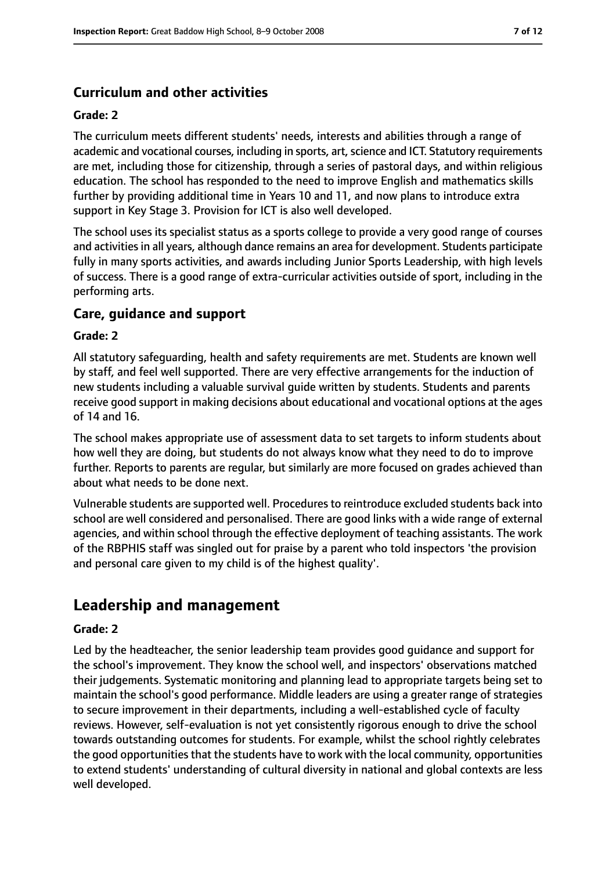#### **Curriculum and other activities**

#### **Grade: 2**

The curriculum meets different students' needs, interests and abilities through a range of academic and vocational courses, including in sports, art, science and ICT. Statutory requirements are met, including those for citizenship, through a series of pastoral days, and within religious education. The school has responded to the need to improve English and mathematics skills further by providing additional time in Years 10 and 11, and now plans to introduce extra support in Key Stage 3. Provision for ICT is also well developed.

The school uses its specialist status as a sports college to provide a very good range of courses and activities in all years, although dance remains an area for development. Students participate fully in many sports activities, and awards including Junior Sports Leadership, with high levels of success. There is a good range of extra-curricular activities outside of sport, including in the performing arts.

#### **Care, guidance and support**

#### **Grade: 2**

All statutory safeguarding, health and safety requirements are met. Students are known well by staff, and feel well supported. There are very effective arrangements for the induction of new students including a valuable survival guide written by students. Students and parents receive good support in making decisions about educational and vocational options at the ages of 14 and 16.

The school makes appropriate use of assessment data to set targets to inform students about how well they are doing, but students do not always know what they need to do to improve further. Reports to parents are regular, but similarly are more focused on grades achieved than about what needs to be done next.

Vulnerable students are supported well. Procedures to reintroduce excluded students back into school are well considered and personalised. There are good links with a wide range of external agencies, and within school through the effective deployment of teaching assistants. The work of the RBPHIS staff was singled out for praise by a parent who told inspectors 'the provision and personal care given to my child is of the highest quality'.

### **Leadership and management**

#### **Grade: 2**

Led by the headteacher, the senior leadership team provides good guidance and support for the school's improvement. They know the school well, and inspectors' observations matched their judgements. Systematic monitoring and planning lead to appropriate targets being set to maintain the school's good performance. Middle leaders are using a greater range of strategies to secure improvement in their departments, including a well-established cycle of faculty reviews. However, self-evaluation is not yet consistently rigorous enough to drive the school towards outstanding outcomes for students. For example, whilst the school rightly celebrates the good opportunities that the students have to work with the local community, opportunities to extend students' understanding of cultural diversity in national and global contexts are less well developed.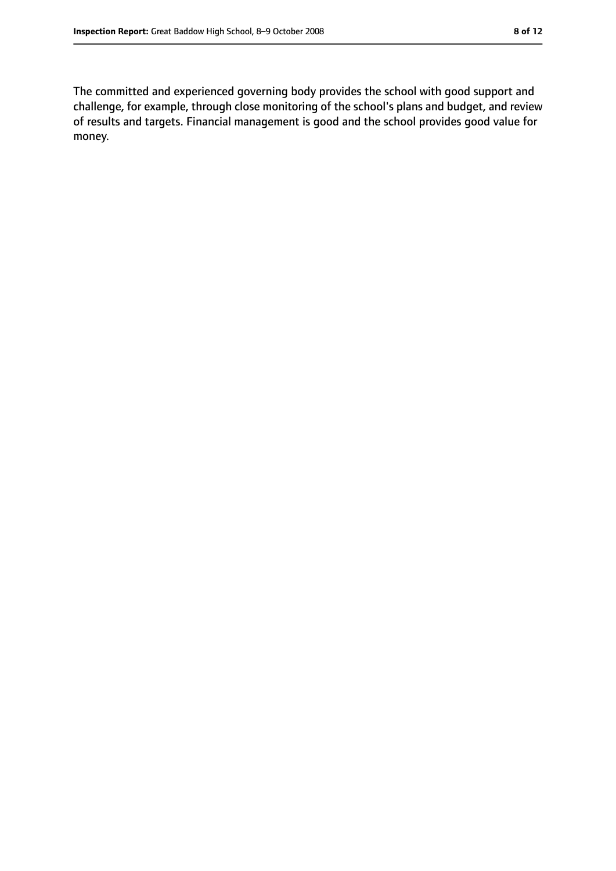The committed and experienced governing body provides the school with good support and challenge, for example, through close monitoring of the school's plans and budget, and review of results and targets. Financial management is good and the school provides good value for money.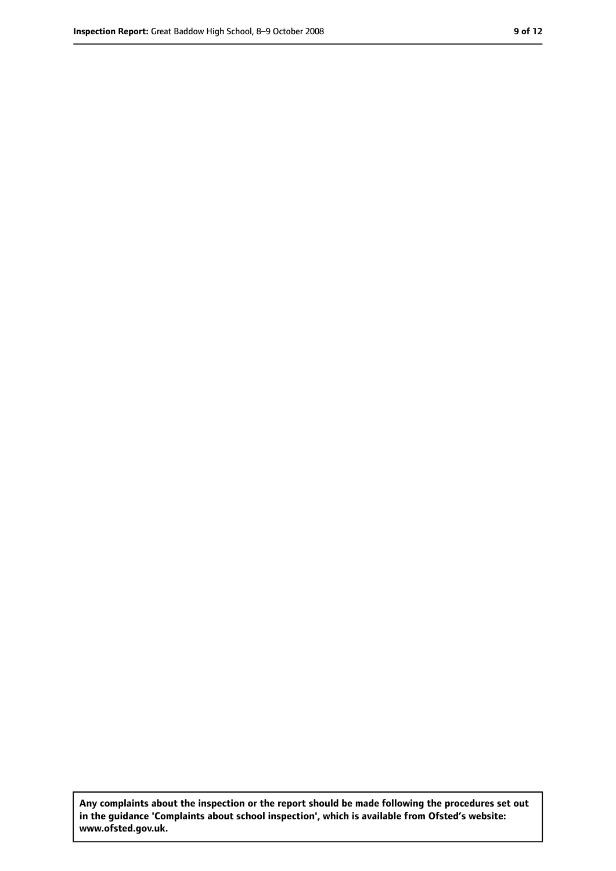**Any complaints about the inspection or the report should be made following the procedures set out in the guidance 'Complaints about school inspection', which is available from Ofsted's website: www.ofsted.gov.uk.**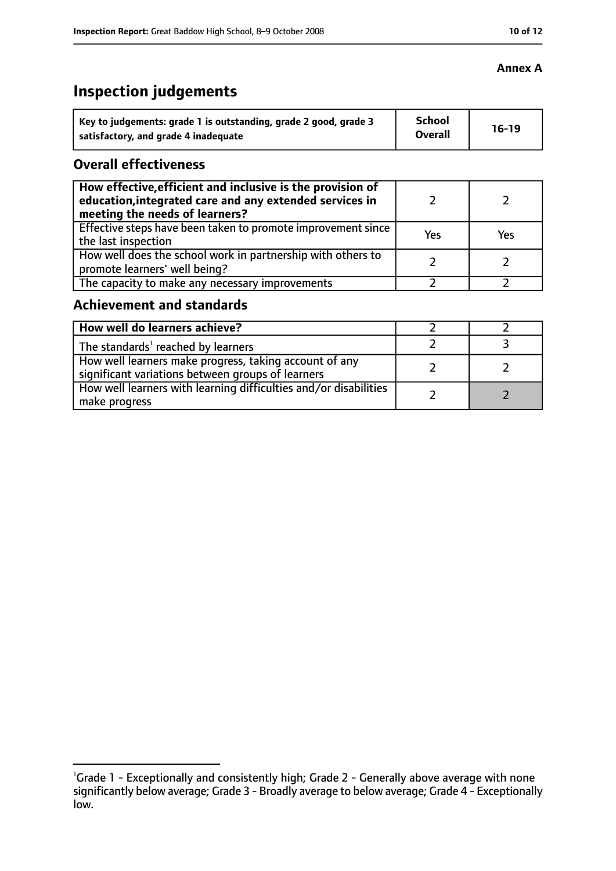### **Inspection judgements**

| Key to judgements: grade 1 is outstanding, grade 2 good, grade 3 | <b>School</b><br><b>Overall</b> | $16-19$ |
|------------------------------------------------------------------|---------------------------------|---------|
| satisfactory, and grade 4 inadequate                             |                                 |         |

#### **Overall effectiveness**

| How effective, efficient and inclusive is the provision of<br>education, integrated care and any extended services in<br>meeting the needs of learners? |     |     |
|---------------------------------------------------------------------------------------------------------------------------------------------------------|-----|-----|
| Effective steps have been taken to promote improvement since<br>the last inspection                                                                     | Yes | Yes |
| How well does the school work in partnership with others to<br>promote learners' well being?                                                            |     |     |
| The capacity to make any necessary improvements                                                                                                         |     |     |

#### **Achievement and standards**

| How well do learners achieve?                                                                               |  |
|-------------------------------------------------------------------------------------------------------------|--|
| The standards <sup>1</sup> reached by learners                                                              |  |
| How well learners make progress, taking account of any<br>significant variations between groups of learners |  |
| How well learners with learning difficulties and/or disabilities<br>make progress                           |  |

#### **Annex A**

<sup>&</sup>lt;sup>1</sup>Grade 1 - Exceptionally and consistently high; Grade 2 - Generally above average with none significantly below average; Grade 3 - Broadly average to below average; Grade 4 - Exceptionally low.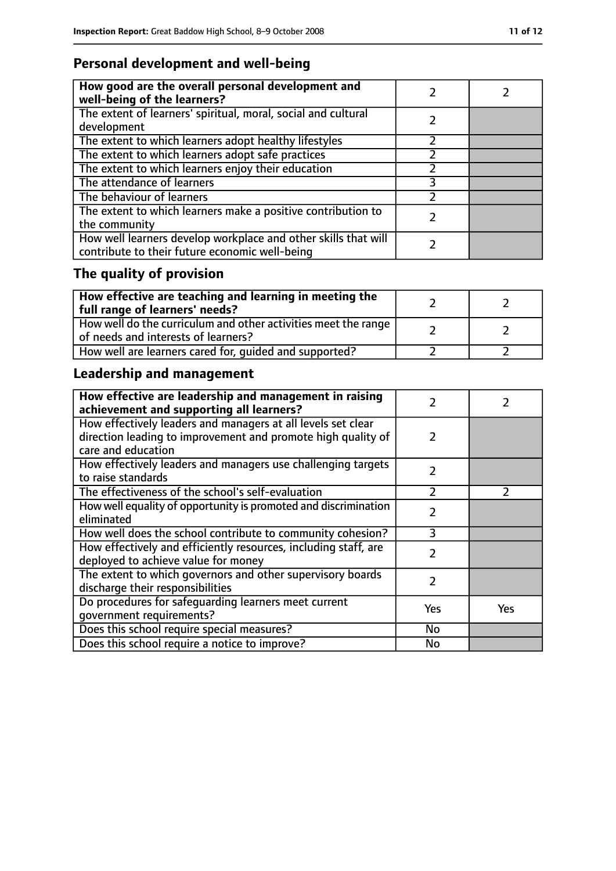### **Personal development and well-being**

| How good are the overall personal development and<br>well-being of the learners?                                 |  |
|------------------------------------------------------------------------------------------------------------------|--|
| The extent of learners' spiritual, moral, social and cultural<br>development                                     |  |
| The extent to which learners adopt healthy lifestyles                                                            |  |
| The extent to which learners adopt safe practices                                                                |  |
| The extent to which learners enjoy their education                                                               |  |
| The attendance of learners                                                                                       |  |
| The behaviour of learners                                                                                        |  |
| The extent to which learners make a positive contribution to<br>the community                                    |  |
| How well learners develop workplace and other skills that will<br>contribute to their future economic well-being |  |

## **The quality of provision**

| $\mid$ How effective are teaching and learning in meeting the<br>full range of learners' needs?       |  |
|-------------------------------------------------------------------------------------------------------|--|
| How well do the curriculum and other activities meet the range<br>of needs and interests of learners? |  |
| How well are learners cared for, quided and supported?                                                |  |

### **Leadership and management**

| How effective are leadership and management in raising<br>achievement and supporting all learners?                                                 | フ             |               |
|----------------------------------------------------------------------------------------------------------------------------------------------------|---------------|---------------|
| How effectively leaders and managers at all levels set clear<br>direction leading to improvement and promote high quality of<br>care and education | 2             |               |
| How effectively leaders and managers use challenging targets<br>to raise standards                                                                 | $\mathcal{P}$ |               |
| The effectiveness of the school's self-evaluation                                                                                                  | $\mathcal{P}$ | $\mathcal{P}$ |
| How well equality of opportunity is promoted and discrimination<br>eliminated                                                                      | 2             |               |
| How well does the school contribute to community cohesion?                                                                                         | 3             |               |
| How effectively and efficiently resources, including staff, are<br>deployed to achieve value for money                                             | $\mathcal{P}$ |               |
| The extent to which governors and other supervisory boards<br>discharge their responsibilities                                                     | $\mathcal{P}$ |               |
| Do procedures for safequarding learners meet current<br>qovernment requirements?                                                                   | Yes           | Yes           |
| Does this school require special measures?                                                                                                         | <b>No</b>     |               |
| Does this school require a notice to improve?                                                                                                      | No            |               |